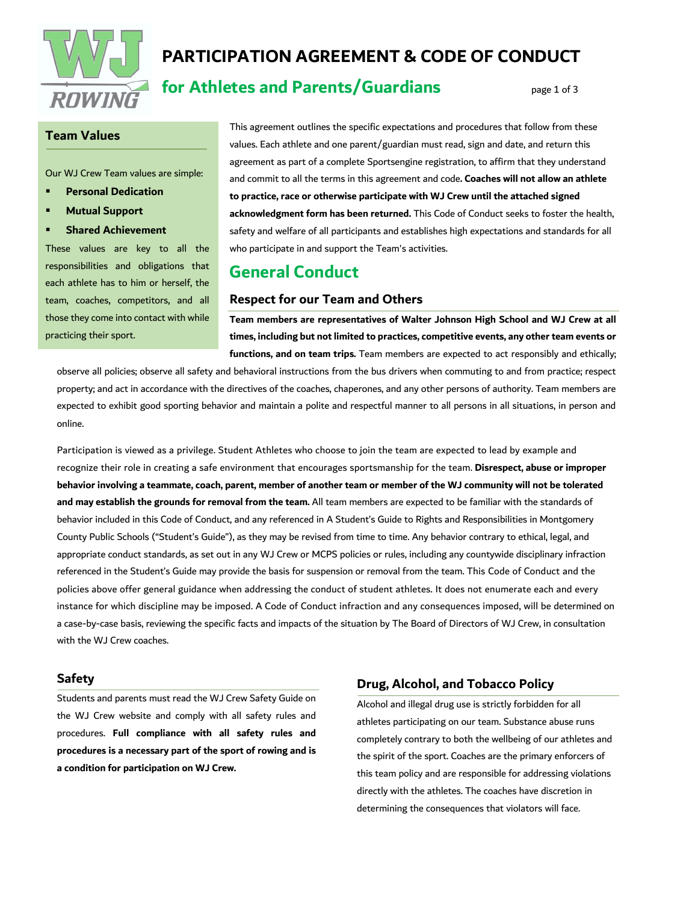

# **PARTICIPATION AGREEMENT & CODE OF CONDUCT**

# **for Athletes and Parents/Guardians** page 1 of 3

### **Team Values**

Our WJ Crew Team values are simple:

- § **Personal Dedication**
- § **Mutual Support**
- § **Shared Achievement**

These values are key to all the responsibilities and obligations that each athlete has to him or herself, the team, coaches, competitors, and all those they come into contact with while practicing their sport.

This agreement outlines the specific expectations and procedures that follow from these values. Each athlete and one parent/guardian must read, sign and date, and return this agreement as part of a complete Sportsengine registration, to affirm that they understand and commit to all the terms in this agreement and code**. Coaches will not allow an athlete to practice, race or otherwise participate with WJ Crew until the attached signed acknowledgment form has been returned.** This Code of Conduct seeks to foster the health, safety and welfare of all participants and establishes high expectations and standards for all who participate in and support the Team's activities.

## **General Conduct**

#### **Respect for our Team and Others**

**Team members are representatives of Walter Johnson High School and WJ Crew at all times, including but not limited to practices, competitive events, any other team events or functions, and on team trips.** Team members are expected to act responsibly and ethically;

observe all policies; observe all safety and behavioral instructions from the bus drivers when commuting to and from practice; respect property; and act in accordance with the directives of the coaches, chaperones, and any other persons of authority. Team members are expected to exhibit good sporting behavior and maintain a polite and respectful manner to all persons in all situations, in person and online.

Participation is viewed as a privilege. Student Athletes who choose to join the team are expected to lead by example and recognize their role in creating a safe environment that encourages sportsmanship for the team. **Disrespect, abuse or improper behavior involving a teammate, coach, parent, member of another team or member of the WJ community will not be tolerated and may establish the grounds for removal from the team.** All team members are expected to be familiar with the standards of behavior included in this Code of Conduct, and any referenced in A Student's Guide to Rights and Responsibilities in Montgomery County Public Schools ("Student's Guide"), as they may be revised from time to time. Any behavior contrary to ethical, legal, and appropriate conduct standards, as set out in any WJ Crew or MCPS policies or rules, including any countywide disciplinary infraction referenced in the Student's Guide may provide the basis for suspension or removal from the team. This Code of Conduct and the policies above offer general guidance when addressing the conduct of student athletes. It does not enumerate each and every instance for which discipline may be imposed. A Code of Conduct infraction and any consequences imposed, will be determined on a case-by-case basis, reviewing the specific facts and impacts of the situation by The Board of Directors of WJ Crew, in consultation with the WJ Crew coaches.

#### **Safety**

Students and parents must read the WJ Crew Safety Guide on the WJ Crew website and comply with all safety rules and procedures. **Full compliance with all safety rules and procedures is a necessary part of the sport of rowing and is a condition for participation on WJ Crew.**

#### **Drug, Alcohol, and Tobacco Policy**

Alcohol and illegal drug use is strictly forbidden for all athletes participating on our team. Substance abuse runs completely contrary to both the wellbeing of our athletes and the spirit of the sport. Coaches are the primary enforcers of this team policy and are responsible for addressing violations directly with the athletes. The coaches have discretion in determining the consequences that violators will face.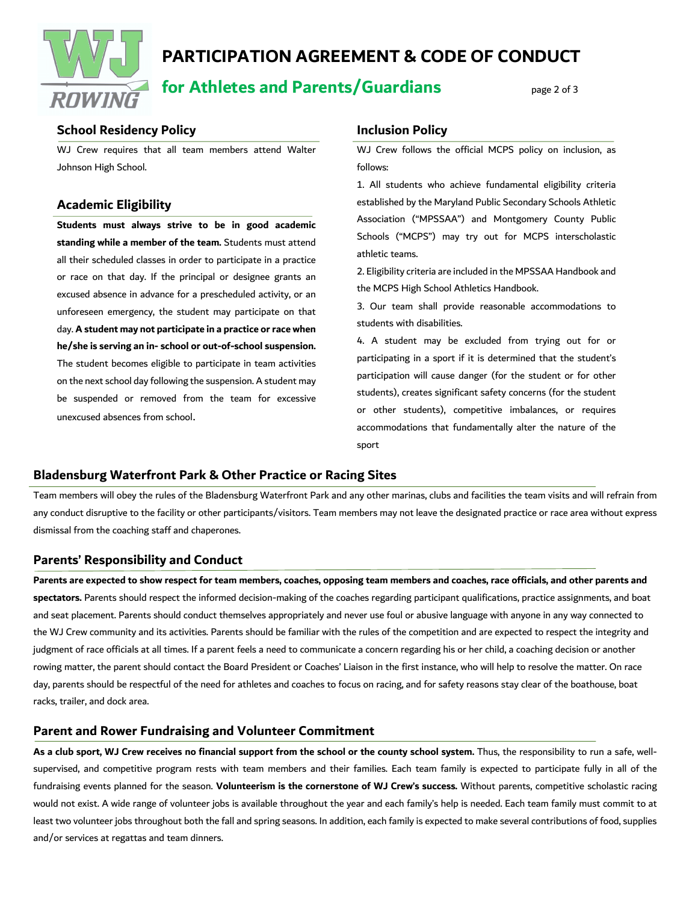

# **PARTICIPATION AGREEMENT & CODE OF CONDUCT**

**for Athletes and Parents/Guardians** page 2 of 3

### **School Residency Policy**

WJ Crew requires that all team members attend Walter Johnson High School.

## **Academic Eligibility**

**Students must always strive to be in good academic standing while a member of the team.** Students must attend all their scheduled classes in order to participate in a practice or race on that day. If the principal or designee grants an excused absence in advance for a prescheduled activity, or an unforeseen emergency, the student may participate on that day. **A student may not participate in a practice or race when he/she is serving an in- school or out-of-school suspension.** The student becomes eligible to participate in team activities on the next school day following the suspension. A student may be suspended or removed from the team for excessive unexcused absences from school.

#### **Inclusion Policy**

WJ Crew follows the official MCPS policy on inclusion, as follows:

1. All students who achieve fundamental eligibility criteria established by the Maryland Public Secondary Schools Athletic Association ("MPSSAA") and Montgomery County Public Schools ("MCPS") may try out for MCPS interscholastic athletic teams.

2. Eligibility criteria are included in the MPSSAA Handbook and the MCPS High School Athletics Handbook.

3. Our team shall provide reasonable accommodations to students with disabilities.

4. A student may be excluded from trying out for or participating in a sport if it is determined that the student's participation will cause danger (for the student or for other students), creates significant safety concerns (for the student or other students), competitive imbalances, or requires accommodations that fundamentally alter the nature of the sport

### **Bladensburg Waterfront Park & Other Practice or Racing Sites**

Team members will obey the rules of the Bladensburg Waterfront Park and any other marinas, clubs and facilities the team visits and will refrain from any conduct disruptive to the facility or other participants/visitors. Team members may not leave the designated practice or race area without express dismissal from the coaching staff and chaperones.

### **Parents' Responsibility and Conduct**

**Parents are expected to show respect for team members, coaches, opposing team members and coaches, race officials, and other parents and spectators.** Parents should respect the informed decision-making of the coaches regarding participant qualifications, practice assignments, and boat and seat placement. Parents should conduct themselves appropriately and never use foul or abusive language with anyone in any way connected to the WJ Crew community and its activities. Parents should be familiar with the rules of the competition and are expected to respect the integrity and judgment of race officials at all times. If a parent feels a need to communicate a concern regarding his or her child, a coaching decision or another rowing matter, the parent should contact the Board President or Coaches' Liaison in the first instance, who will help to resolve the matter. On race day, parents should be respectful of the need for athletes and coaches to focus on racing, and for safety reasons stay clear of the boathouse, boat racks, trailer, and dock area.

### **Parent and Rower Fundraising and Volunteer Commitment**

**As a club sport, WJ Crew receives no financial support from the school or the county school system.** Thus, the responsibility to run a safe, wellsupervised, and competitive program rests with team members and their families. Each team family is expected to participate fully in all of the fundraising events planned for the season. **Volunteerism is the cornerstone of WJ Crew's success.** Without parents, competitive scholastic racing would not exist. A wide range of volunteer jobs is available throughout the year and each family's help is needed. Each team family must commit to at least two volunteer jobs throughout both the fall and spring seasons. In addition, each family is expected to make several contributions of food, supplies and/or services at regattas and team dinners.